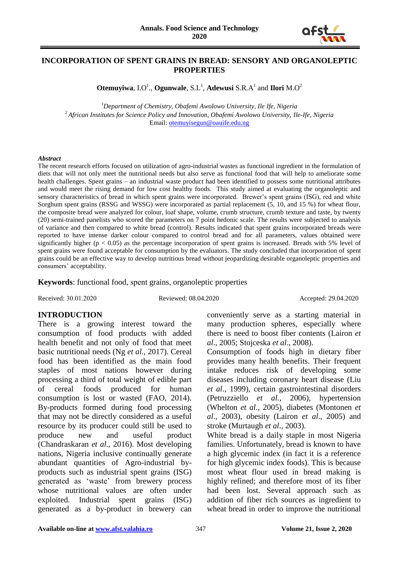

### **INCORPORATION OF SPENT GRAINS IN BREAD: SENSORY AND ORGANOLEPTIC PROPERTIES**

**Otemuyiwa**,  $I.O<sup>1</sup>$ , **Ogunwale**,  $S.L<sup>1</sup>$ , **Adewusi**  $S.R.A<sup>1</sup>$  and **Ilori**  $M.O<sup>2</sup>$ 

*<sup>1</sup>Department of Chemistry, Obafemi Awolowo University, Ile Ife, Nigeria <sup>2</sup>African Institutes for Science Policy and Innovation, Obafemi Awolowo University, Ile-Ife, Nigeria* Email: [otemuyisegun@oauife.edu.ng](mailto:otemuyisegun@oauife.edu.ng)

#### *Abstract*

The recent research efforts focused on utilization of agro-industrial wastes as functional ingredient in the formulation of diets that will not only meet the nutritional needs but also serve as functional food that will help to ameliorate some health challenges. Spent grains – an industrial waste product had been identified to possess some nutritional attributes and would meet the rising demand for low cost healthy foods. This study aimed at evaluating the organoleptic and sensory characteristics of bread in which spent grains were incorporated. Brewer's spent grains (ISG), red and white Sorghum spent grains (RSSG and WSSG) were incorporated as partial replacement (5, 10, and 15 %) for wheat flour, the composite bread were analyzed for colour, loaf shape, volume, crumb structure, crumb texture and taste, by twenty (20) semi-trained panelists who scored the parameters on 7 point hedonic scale. The results were subjected to analysis of variance and then compared to white bread (control). Results indicated that spent grains incorporated breads were reported to have intense darker colour compared to control bread and for all parameters, values obtained were significantly higher ( $p < 0.05$ ) as the percentage incorporation of spent grains is increased. Breads with 5% level of spent grains were found acceptable for consumption by the evaluators. The study concluded that incorporation of spent grains could be an effective way to develop nutritious bread without jeopardizing desirable organoleptic properties and consumers' acceptability.

#### **Keywords**: functional food, spent grains, organoleptic properties

Received: 30.01.2020 Reviewed: 08.04.2020 Accepted: 29.04.2020

#### **INTRODUCTION**

There is a growing interest toward the consumption of food products with added health benefit and not only of food that meet basic nutritional needs (Ng *et al.,* 2017). Cereal food has been identified as the main food staples of most nations however during processing a third of total weight of edible part of cereal foods produced for human consumption is lost or wasted (FAO, 2014). By-products formed during food processing that may not be directly considered as a useful resource by its producer could still be used to produce new and useful product (Chandraskaran *et al*., 2016). Most developing nations, Nigeria inclusive continually generate abundant quantities of Agro-industrial byproducts such as industrial spent grains (ISG) generated as 'waste' from brewery process whose nutritional values are often under exploited. Industrial spent grains (ISG) generated as a by-product in brewery can conveniently serve as a starting material in many production spheres, especially where there is need to boost fiber contents (Lairon *et al*., 2005; Stojceska *et al*., 2008).

Consumption of foods high in dietary fiber provides many health benefits. Their frequent intake reduces risk of developing some diseases including coronary heart disease (Liu *et al*., 1999), certain gastrointestinal disorders (Petruzziello *et al.,* 2006), hypertension (Whelton *et al*., 2005), diabetes (Montonen *et al*., 2003), obesity (Lairon *et al*., 2005) and stroke (Murtaugh *et al*., 2003).

White bread is a daily staple in most Nigeria families. Unfortunately, bread is known to have a high glycemic index (in fact it is a reference for high glycemic index foods). This is because most wheat flour used in bread making is highly refined; and therefore most of its fiber had been lost. Several approach such as addition of fiber rich sources as ingredient to wheat bread in order to improve the nutritional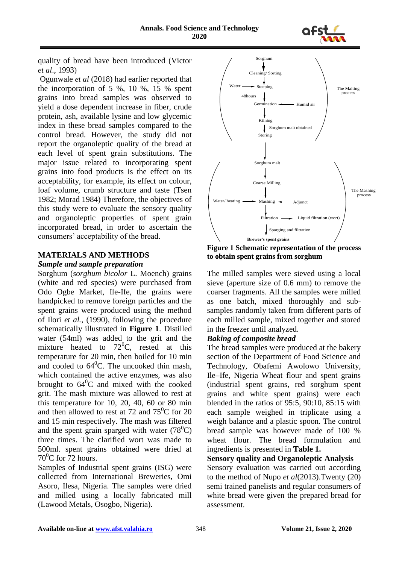

quality of bread have been introduced (Victor *et al*., 1993)

Ogunwale *et al* (2018) had earlier reported that the incorporation of  $5\%$ ,  $10\%$ ,  $15\%$  spent grains into bread samples was observed to yield a dose dependent increase in fiber, crude protein, ash, available lysine and low glycemic index in these bread samples compared to the control bread. However, the study did not report the organoleptic quality of the bread at each level of spent grain substitutions. The major issue related to incorporating spent grains into food products is the effect on its acceptability, for example, its effect on colour, loaf volume, crumb structure and taste (Tsen 1982; Morad 1984) Therefore, the objectives of this study were to evaluate the sensory quality and organoleptic properties of spent grain incorporated bread, in order to ascertain the consumers' acceptability of the bread.

# **MATERIALS AND METHODS**

### *Sample and sample preparation*

Sorghum (*sorghum bicolor* L. Moench) grains (white and red species) were purchased from Odo Ogbe Market, Ile-Ife, the grains were handpicked to remove foreign particles and the spent grains were produced using the method of Ilori *et al.,* (1990), following the procedure schematically illustrated in **Figure 1**. Distilled water (54ml) was added to the grit and the mixture heated to  $72^{\circ}$ C, rested at this temperature for 20 min, then boiled for 10 min and cooled to  $64^{\circ}$ C. The uncooked thin mash, which contained the active enzymes, was also brought to  $64^{\circ}$ C and mixed with the cooked grit. The mash mixture was allowed to rest at this temperature for 10, 20, 40, 60 or 80 min and then allowed to rest at 72 and  $75^{\circ}$ C for 20 and 15 min respectively. The mash was filtered and the spent grain sparged with water  $(78^{\circ}C)$ three times. The clarified wort was made to 500ml. spent grains obtained were dried at  $70^0C$  for 72 hours.

Samples of Industrial spent grains (ISG) were collected from International Breweries, Omi Asoro, Ilesa, Nigeria. The samples were dried and milled using a locally fabricated mill (Lawood Metals, Osogbo, Nigeria).



**Figure 1 Schematic representation of the process to obtain spent grains from sorghum**

The milled samples were sieved using a local sieve (aperture size of 0.6 mm) to remove the coarser fragments. All the samples were milled as one batch, mixed thoroughly and subsamples randomly taken from different parts of each milled sample, mixed together and stored in the freezer until analyzed.

# *Baking of composite bread*

The bread samples were produced at the bakery section of the Department of Food Science and Technology, Obafemi Awolowo University, Ile–Ife, Nigeria Wheat flour and spent grains (industrial spent grains, red sorghum spent grains and white spent grains) were each blended in the ratios of 95:5, 90:10, 85:15 with each sample weighed in triplicate using a weigh balance and a plastic spoon. The control bread sample was however made of 100 % wheat flour. The bread formulation and ingredients is presented in **Table 1.**

# **Sensory quality and Organoleptic Analysis**

Sensory evaluation was carried out according to the method of Nupo *et al*(2013).Twenty (20) semi trained panelists and regular consumers of white bread were given the prepared bread for assessment.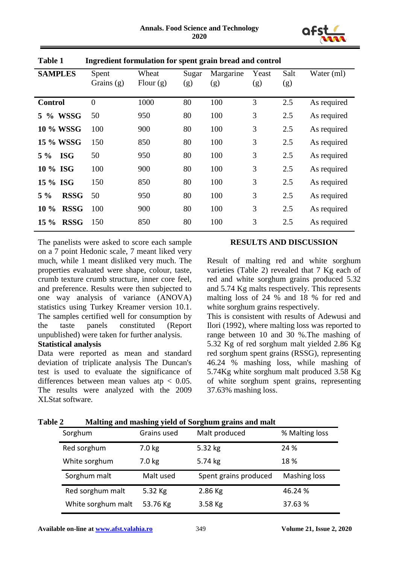

| 1 uvit 1              |                       | mgreatent formanation for spent gram sreau and control |              |                  |              |             |             |
|-----------------------|-----------------------|--------------------------------------------------------|--------------|------------------|--------------|-------------|-------------|
| <b>SAMPLES</b>        | Spent<br>Grains $(g)$ | Wheat<br>Flour $(g)$                                   | Sugar<br>(g) | Margarine<br>(g) | Yeast<br>(g) | Salt<br>(g) | Water (ml)  |
| <b>Control</b>        | $\theta$              | 1000                                                   | 80           | 100              | 3            | 2.5         | As required |
| 5 % WSSG              | 50                    | 950                                                    | 80           | 100              | 3            | 2.5         | As required |
| <b>10 % WSSG</b>      | 100                   | 900                                                    | 80           | 100              | 3            | 2.5         | As required |
| 15 % WSSG             | 150                   | 850                                                    | 80           | 100              | 3            | 2.5         | As required |
| <b>ISG</b><br>$5\%$   | 50                    | 950                                                    | 80           | 100              | 3            | 2.5         | As required |
| 10 % ISG              | 100                   | 900                                                    | 80           | 100              | 3            | 2.5         | As required |
| 15 % ISG              | 150                   | 850                                                    | 80           | 100              | 3            | 2.5         | As required |
| <b>RSSG</b><br>$5\%$  | 50                    | 950                                                    | 80           | 100              | 3            | 2.5         | As required |
| <b>RSSG</b><br>$10\%$ | 100                   | 900                                                    | 80           | 100              | 3            | 2.5         | As required |
| <b>RSSG</b><br>$15\%$ | 150                   | 850                                                    | 80           | 100              | 3            | 2.5         | As required |

**Table 1 Ingredient formulation for spent grain bread and control**

The panelists were asked to score each sample on a 7 point Hedonic scale, 7 meant liked very much, while 1 meant disliked very much. The properties evaluated were shape, colour, taste, crumb texture crumb structure, inner core feel, and preference. Results were then subjected to one way analysis of variance (ANOVA) statistics using Turkey Kreamer version 10.1. The samples certified well for consumption by the taste panels constituted (Report unpublished) were taken for further analysis.

#### **Statistical analysis**

Data were reported as mean and standard deviation of triplicate analysis The Duncan's test is used to evaluate the significance of differences between mean values at  $p < 0.05$ . The results were analyzed with the 2009 XLStat software.

# **RESULTS AND DISCUSSION**

Result of malting red and white sorghum varieties (Table 2) revealed that 7 Kg each of red and white sorghum grains produced 5.32 and 5.74 Kg malts respectively. This represents malting loss of 24 % and 18 % for red and white sorghum grains respectively.

This is consistent with results of Adewusi and Ilori (1992), where malting loss was reported to range between 10 and 30 %.The mashing of 5.32 Kg of red sorghum malt yielded 2.86 Kg red sorghum spent grains (RSSG), representing 46.24 % mashing loss, while mashing of 5.74Kg white sorghum malt produced 3.58 Kg of white sorghum spent grains, representing 37.63% mashing loss.

| 0<br>Sorghum     | $\sigma$ $\mathbf{v}$<br>Grains used | o<br>o<br>Malt produced | % Malting loss      |
|------------------|--------------------------------------|-------------------------|---------------------|
| Red sorghum      | 7.0 kg                               | 5.32 kg                 | 24 %                |
| White sorghum    | $7.0 \text{ kg}$                     | 5.74 kg                 | 18 %                |
| Sorghum malt     | Malt used                            | Spent grains produced   | <b>Mashing loss</b> |
| Red sorghum malt | 5.32 Kg                              | 2.86 Kg                 | 46.24 %             |
|                  |                                      |                         |                     |

**Table 2 Malting and mashing yield of Sorghum grains and malt**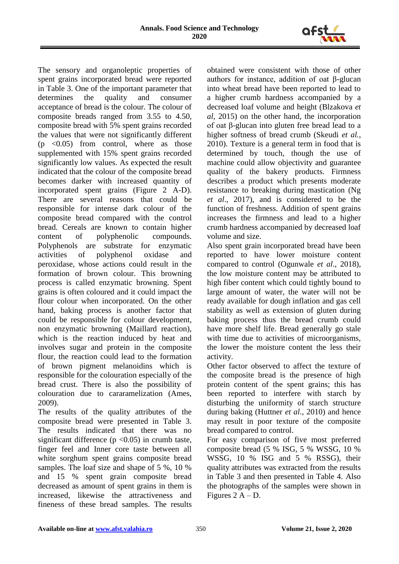

The sensory and organoleptic properties of spent grains incorporated bread were reported in Table 3. One of the important parameter that determines the quality and consumer acceptance of bread is the colour. The colour of composite breads ranged from 3.55 to 4.50, composite bread with 5% spent grains recorded the values that were not significantly different  $(p \leq 0.05)$  from control, where as those supplemented with 15% spent grains recorded significantly low values. As expected the result indicated that the colour of the composite bread becomes darker with increased quantity of incorporated spent grains (Figure 2 A-D). There are several reasons that could be responsible for intense dark colour of the composite bread compared with the control bread. Cereals are known to contain higher content of polyphenolic compounds. Polyphenols are substrate for enzymatic activities of polyphenol oxidase and peroxidase, whose actions could result in the formation of brown colour. This browning process is called enzymatic browning. Spent grains is often coloured and it could impact the flour colour when incorporated. On the other hand, baking process is another factor that could be responsible for colour development, non enzymatic browning (Maillard reaction), which is the reaction induced by heat and involves sugar and protein in the composite flour, the reaction could lead to the formation of brown pigment melanoidins which is responsible for the colouration especially of the bread crust. There is also the possibility of colouration due to cararamelization (Ames, 2009).

The results of the quality attributes of the composite bread were presented in Table 3. The results indicated that there was no significant difference ( $p \le 0.05$ ) in crumb taste. finger feel and Inner core taste between all white sorghum spent grains composite bread samples. The loaf size and shape of 5 %, 10 % and 15 % spent grain composite bread decreased as amount of spent grains in them is increased, likewise the attractiveness and fineness of these bread samples. The results

obtained were consistent with those of other authors for instance, addition of oat β-glucan into wheat bread have been reported to lead to a higher crumb hardness accompanied by a decreased loaf volume and height (Blzakova *et al*, 2015) on the other hand, the incorporation of oat β-glucan into gluten free bread lead to a higher softness of bread crumb (Skeudi *et al.,* 2010). Texture is a general term in food that is determined by touch, though the use of machine could allow objectivity and guarantee quality of the bakery products. Firmness describes a product which presents moderate resistance to breaking during mastication (Ng *et al*., 2017), and is considered to be the function of freshness. Addition of spent grains increases the firmness and lead to a higher crumb hardness accompanied by decreased loaf volume and size.

Also spent grain incorporated bread have been reported to have lower moisture content compared to control (Ogunwale *et al*., 2018), the low moisture content may be attributed to high fiber content which could tightly bound to large amount of water, the water will not be ready available for dough inflation and gas cell stability as well as extension of gluten during baking process thus the bread crumb could have more shelf life. Bread generally go stale with time due to activities of microorganisms. the lower the moisture content the less their activity.

Other factor observed to affect the texture of the composite bread is the presence of high protein content of the spent grains; this has been reported to interfere with starch by disturbing the uniformity of starch structure during baking (Huttner *et al*., 2010) and hence may result in poor texture of the composite bread compared to control.

For easy comparison of five most preferred composite bread (5 % ISG, 5 % WSSG, 10 % WSSG, 10 % ISG and 5 % RSSG), their quality attributes was extracted from the results in Table 3 and then presented in Table 4. Also the photographs of the samples were shown in Figures  $2 A - D$ .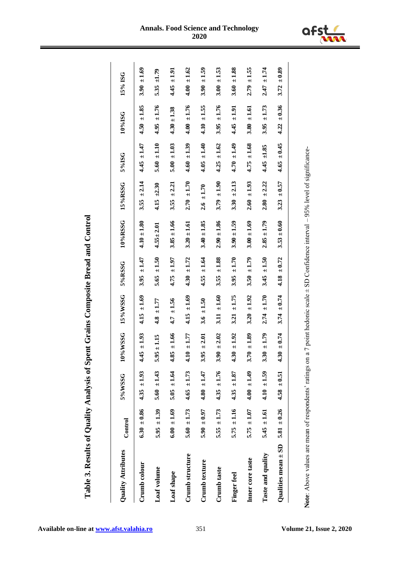

| <b>Quality Attributes</b> | Control            | 5%WSSG             | 0%WSSG                              | 15% WSSG            | 5%RSSG             | 10%RSSG         | 15%RSSG            | 5%ISG              | 10%ISG             | 15% ISG            |
|---------------------------|--------------------|--------------------|-------------------------------------|---------------------|--------------------|-----------------|--------------------|--------------------|--------------------|--------------------|
| Crumb colour              | $6.30 \pm 0.86$    | $\pm 1.93$<br>4.35 | $\pm 1.93$<br>45<br>4               | $\pm\,1.69$<br>4.15 | $\pm 1.47$<br>3.95 | $4.10 \pm 1.80$ | $\pm 2.14$<br>3.55 | $4.45 \pm 1.47$    | $\pm 1.85$<br>4.50 | $3.90 \pm 1.69$    |
| Loaf volume               | $5.95 \pm 1.39$    | $5.60 \pm 1.43$    | $5.95 \pm 1.15$                     | $\pm$ 1.77<br>4.8   | $\pm 1.50$<br>5.65 | $4.55 \pm 2.01$ | $4.15 \pm 2.30$    | $5.60 \pm 1.10$    | $\pm 1.76$<br>4.95 | ±1.79<br>5.35      |
| Loaf shape                | $6.00 \pm 1.69$    | $5.05 \pm 1.64$    | $\pm 1.66$<br>4.85                  | $4.7 \pm 1.56$      | $4.75 \pm 1.97$    | $3.85 \pm 1.66$ | $3.55 \pm 2.21$    | $5.00 \pm 1.03$    | $4.30 \pm 1.38$    | ±1.91<br>4.45      |
| Crumb structure           | $5.60 \pm 1.73$    | $4.65 \pm 1.73$    | $4.10 \pm 1.77$                     | $\pm 1.69$<br>4.15  | $4.30 \pm 1.72$    | $3.20 \pm 1.61$ | $2.70 \pm 1.70$    | $4.60 \pm 1.39$    | ± 1.76<br>4.00     | $4.00 \pm 1.62$    |
| Crumb texture             | $5.90 \pm 0.97$    | $4.80 \pm 1.47$    | $\pm 2.01$<br>3.95                  | $3.6 \pm 1.50$      | ±1.64<br>4.55      | $3.40 \pm 1.85$ | $2.6 \pm 1.70$     | ± 1.40<br>4.05     | $\pm 1.55$<br>4.10 | $3.90 \pm 1.59$    |
| Crumb taste               | $\pm 1.73$<br>5.55 | $4.35 \pm 1.76$    | $\pm 2.02$<br>Ş.<br>$\bm{\omega}$   | $\pm 1.60$<br>3.11  | $\pm 1.88$<br>3.55 | $2.90 \pm 1.86$ | ± 1.90<br>3.79     | $\pm 1.62$<br>4.25 | $\pm 1.76$<br>3.95 | $\pm 1.53$<br>3.00 |
| Finger feel               | $\pm 1.16$<br>5.75 | $4.35 \pm 1.87$    | $\pm 1.92$<br>$\ddot{\bm{30}}$<br>4 | $\pm 1.75$<br>3.21  | $\pm 1.70$<br>3.95 | $3.90 \pm 1.59$ | $3.30 \pm 2.13$    | $4.70 \pm 1.49$    | $\pm 1.91$<br>4.45 | $3.60 \pm 1.88$    |
| Inner core taste          | $5.75 \pm 1.07$    | $4.00 \pm 1.49$    | $.70 \pm 1.89$<br>ొ                 | $3.20 \pm 1.92$     | $3.50 \pm 1.79$    | $3.00 \pm 1.69$ | $2.60 \pm 1.93$    | $\pm 1.68$<br>4.75 | $\pm 1.61$<br>3.80 | ±1.55<br>2.79      |
| Taste and quality         | $\pm 1.61$<br>5.45 | $4.10 \pm 1.59$    | $.30 \pm 1.79$<br>ొ                 | $2.74 \pm 1.70$     | $\pm 1.50$<br>3.45 | $2.85 \pm 1.79$ | $2.80 \pm 2.22$    | $4.45 \pm 1.85$    | ± 1.73<br>3.95     | $2.47 \pm 1.74$    |
| Qualities mean $\pm$ SD   | 5.81 $\pm$ 0.26    | $4.58 \pm 0.51$    | $.30 \pm 0.74$                      | $3.74 \pm 0.74$     | $4.18 \pm 0.72$    | $3.53 \pm 0.60$ | $\pm 0.57$<br>3.23 | $\pm 0.45$<br>4.65 | $\pm 0.36$<br>4.22 | $\pm 0.89$<br>3.72 |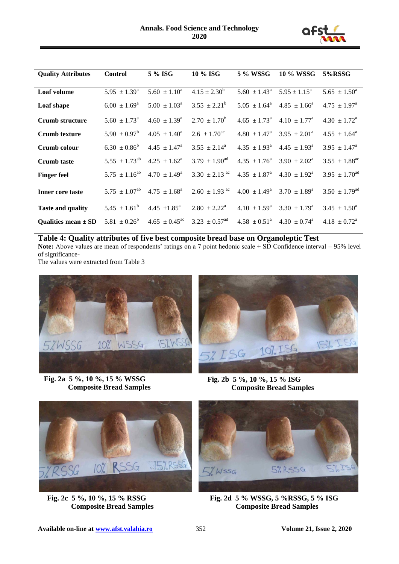

| <b>Quality Attributes</b> | <b>Control</b>             | 5 % ISG                     | 10 % ISG                      | 5 % WSSG                   | 10 % WSSG                    | 5%RSSG                        |
|---------------------------|----------------------------|-----------------------------|-------------------------------|----------------------------|------------------------------|-------------------------------|
|                           |                            |                             |                               |                            |                              |                               |
| Loaf volume               | $5.95 \pm 1.39^{\text{a}}$ | $5.60 \pm 1.10^a$           | $4.15 \pm 2.30^b$             | $5.60 \pm 1.43^{\circ}$    | $5.95 \pm 1.15^a$            | $5.65 \pm 1.50^{\circ}$       |
| Loaf shape                | $6.00 \pm 1.69^{\circ}$    | $5.00 \pm 1.03^{\circ}$     | $3.55 \pm 2.21^b$             | $5.05 \pm 1.64^{\circ}$    | $4.85 \pm 1.66^{\circ}$      | $4.75 \pm 1.97^{\circ}$       |
| Crumb structure           | $5.60 \pm 1.73^{\circ}$    | $4.60 \pm 1.39^{\circ}$     | $2.70 \pm 1.70^b$             | $4.65 \pm 1.73^{\circ}$    | $4.10 \pm 1.77^{\circ}$      | $4.30 \pm 1.72^{\text{a}}$    |
| Crumb texture             | $5.90 \pm 0.97^b$          | $4.05 \pm 1.40^{\circ}$     | $2.6 \pm 1.70^{\text{ac}}$    | $4.80 \pm 1.47^{\text{a}}$ | $3.95 \pm 2.01^{\circ}$      | $4.55 \pm 1.64^{\circ}$       |
| Crumb colour              | $6.30 \pm 0.86^b$          | $4.45 \pm 1.47^{\circ}$     | $3.55 \pm 2.14^{\circ}$       | $4.35 \pm 1.93^{\text{a}}$ | $4.45 \pm 1.93^{\circ}$      | $3.95 \pm 1.47^{\circ}$       |
| <b>Crumb</b> taste        | $5.55 \pm 1.73^{ab}$       | $4.25 + 1.62^a$             | $3.79 \pm 1.90$ <sup>ad</sup> | $4.35 \pm 1.76^{\circ}$    | $3.90 \pm 2.02^{\text{a}}$   | $3.55 \pm 1.88^{\text{ac}}$   |
| <b>Finger feel</b>        | $5.75 \pm 1.16^{ab}$       | $4.70 \pm 1.49^{\circ}$     | $3.30 \pm 2.13$ <sup>ac</sup> | $4.35 \pm 1.87^{\text{a}}$ | $4.30 \pm 1.92^{\text{a}}$   | $3.95 \pm 1.70$ <sup>ad</sup> |
| <b>Inner core taste</b>   | $5.75 \pm 1.07^{ab}$       | $4.75 \pm 1.68^{\text{a}}$  | $2.60 \pm 1.93$ ac            | $4.00 \pm 1.49^{\circ}$    | $3.70 \pm 1.89^{\text{a}}$   | $3.50 \pm 1.79$ <sup>ad</sup> |
| <b>Taste and quality</b>  | $5.45 \pm 1.61^b$          | 4.45 $\pm 1.85^{\text{a}}$  | $2.80 \pm 2.22^{\text{a}}$    | $4.10 \pm 1.59^{\circ}$    | $3.30 \pm 1.79^{\circ}$      | $3.45 \pm 1.50^{\circ}$       |
| Qualities mean $\pm$ SD   | $5.81 \pm 0.26^b$          | $4.65 \pm 0.45^{\text{ac}}$ | $3.23 \pm 0.57$ <sup>ad</sup> | $4.58 \pm 0.51^{\circ}$    | $4.30 \pm 0.74$ <sup>a</sup> | $4.18 \pm 0.72^{\text{a}}$    |

**Table 4: Quality attributes of five best composite bread base on Organoleptic Test Note:** Above values are mean of respondents' ratings on a 7 point hedonic scale  $\pm$  SD Confidence interval – 95% level of significance-

The values were extracted from Table 3



**Fig. 2a 5 %, 10 %, 15 % WSSG Composite Bread Samples**



**Fig. 2b 5 %, 10 %, 15 % ISG Composite Bread Samples**



**Fig. 2c 5 %, 10 %, 15 % RSSG Composite Bread Samples**



**Fig. 2d 5 % WSSG, 5 %RSSG, 5 % ISG Composite Bread Samples**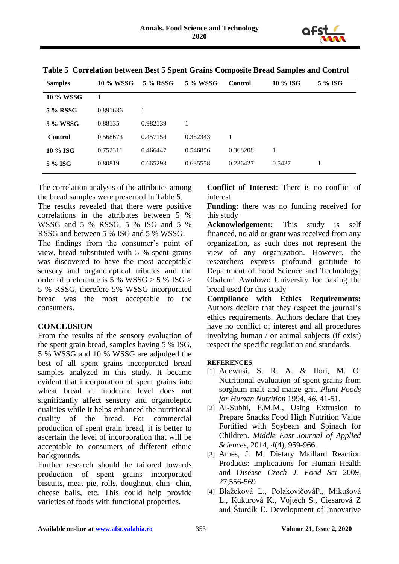

| <b>Samples</b>   | 10 % WSSG | 5 % RSSG | 5 % WSSG | <b>Control</b> | 10 % ISG | 5 % ISG |
|------------------|-----------|----------|----------|----------------|----------|---------|
| <b>10 % WSSG</b> |           |          |          |                |          |         |
| 5 % RSSG         | 0.891636  | 1        |          |                |          |         |
| 5 % WSSG         | 0.88135   | 0.982139 |          |                |          |         |
| Control          | 0.568673  | 0.457154 | 0.382343 |                |          |         |
| 10 % ISG         | 0.752311  | 0.466447 | 0.546856 | 0.368208       |          |         |
| 5 % ISG          | 0.80819   | 0.665293 | 0.635558 | 0.236427       | 0.5437   |         |

**Table 5 Correlation between Best 5 Spent Grains Composite Bread Samples and Control**

The correlation analysis of the attributes among the bread samples were presented in Table 5.

The results revealed that there were positive correlations in the attributes between 5 % WSSG and 5 % RSSG, 5 % ISG and 5 % RSSG and between 5 % ISG and 5 % WSSG.

The findings from the consumer's point of view, bread substituted with 5 % spent grains was discovered to have the most acceptable sensory and organoleptical tributes and the order of preference is 5 % WSSG  $>$  5 % ISG  $>$ 5 % RSSG, therefore 5% WSSG incorporated bread was the most acceptable to the consumers.

# **CONCLUSION**

From the results of the sensory evaluation of the spent grain bread, samples having 5 % ISG, 5 % WSSG and 10 % WSSG are adjudged the best of all spent grains incorporated bread samples analyzed in this study. It became evident that incorporation of spent grains into wheat bread at moderate level does not significantly affect sensory and organoleptic qualities while it helps enhanced the nutritional quality of the bread. For commercial production of spent grain bread, it is better to ascertain the level of incorporation that will be acceptable to consumers of different ethnic backgrounds.

Further research should be tailored towards production of spent grains incorporated biscuits, meat pie, rolls, doughnut, chin- chin, cheese balls, etc. This could help provide varieties of foods with functional properties.

**Conflict of Interest**: There is no conflict of interest

**Funding**: there was no funding received for this study

**Acknowledgement:** This study is self financed, no aid or grant was received from any organization, as such does not represent the view of any organization. However, the researchers express profound gratitude to Department of Food Science and Technology, Obafemi Awolowo University for baking the bread used for this study

**Compliance with Ethics Requirements:** Authors declare that they respect the journal's ethics requirements. Authors declare that they have no conflict of interest and all procedures involving human / or animal subjects (if exist) respect the specific regulation and standards.

#### **REFERENCES**

- [1] Adewusi, S. R. A. & Ilori, M. O. Nutritional evaluation of spent grains from sorghum malt and maize grit. *Plant Foods for Human Nutrition* 1994, *46*, 41-51.
- [2] Al-Subhi, F.M.M., Using Extrusion to Prepare Snacks Food High Nutrition Value Fortified with Soybean and Spinach for Children. *Middle East Journal of Applied Sciences*, 2014, *4*(4), 959-966.
- [3] Ames, J. M. Dietary Maillard Reaction Products: Implications for Human Health and Disease *Czech J. Food Sci* 2009, 27,556-569
- [4] Blažeková L., PolakovičováP., Mikušová L., Kukurová K., Vojtech S., Ciesarová Z and Šturdík E. Development of Innovative